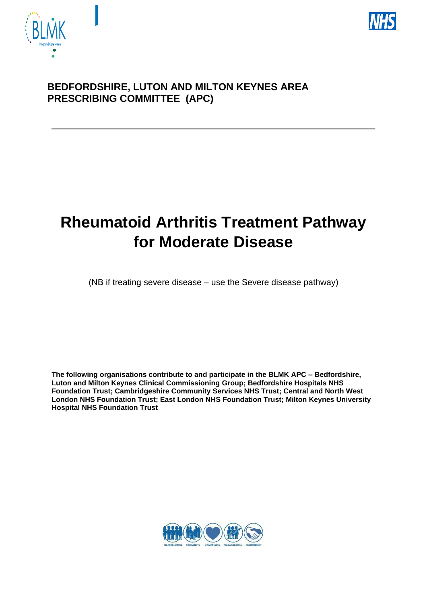



## **BEDFORDSHIRE, LUTON AND MILTON KEYNES AREA PRESCRIBING COMMITTEE (APC)**

# **Rheumatoid Arthritis Treatment Pathway for Moderate Disease**

(NB if treating severe disease – use the Severe disease pathway)

**The following organisations contribute to and participate in the BLMK APC – Bedfordshire, Luton and Milton Keynes Clinical Commissioning Group; Bedfordshire Hospitals NHS Foundation Trust; Cambridgeshire Community Services NHS Trust; Central and North West London NHS Foundation Trust; East London NHS Foundation Trust; Milton Keynes University Hospital NHS Foundation Trust**